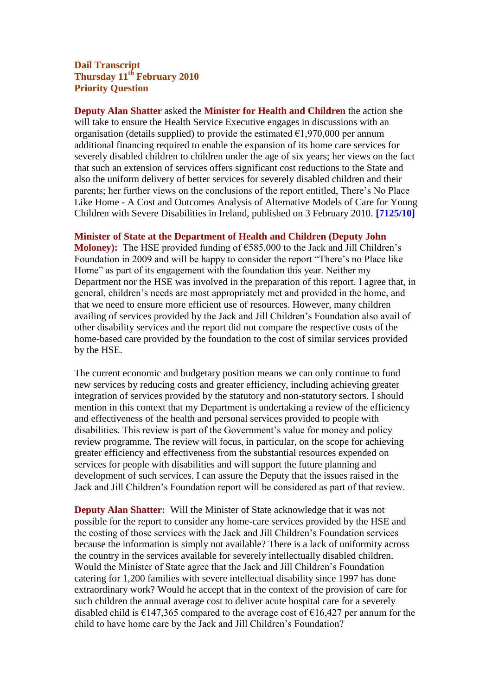## **Dail Transcript Thursday 11th February 2010 Priority Question**

**Deputy Alan Shatter** asked the **Minister for Health and Children** the action she will take to ensure the Health Service Executive engages in discussions with an organisation (details supplied) to provide the estimated  $\epsilon$ 1,970,000 per annum additional financing required to enable the expansion of its home care services for severely disabled children to children under the age of six years; her views on the fact that such an extension of services offers significant cost reductions to the State and also the uniform delivery of better services for severely disabled children and their parents; her further views on the conclusions of the report entitled, There's No Place Like Home - A Cost and Outcomes Analysis of Alternative Models of Care for Young Children with Severe Disabilities in Ireland, published on 3 February 2010. **[7125/10]**

**Minister of State at the Department of Health and Children (Deputy John** 

**Moloney):** The HSE provided funding of €585,000 to the Jack and Jill Children's Foundation in 2009 and will be happy to consider the report "There's no Place like Home" as part of its engagement with the foundation this year. Neither my Department nor the HSE was involved in the preparation of this report. I agree that, in general, children's needs are most appropriately met and provided in the home, and that we need to ensure more efficient use of resources. However, many children availing of services provided by the Jack and Jill Children's Foundation also avail of other disability services and the report did not compare the respective costs of the home-based care provided by the foundation to the cost of similar services provided by the HSE.

The current economic and budgetary position means we can only continue to fund new services by reducing costs and greater efficiency, including achieving greater integration of services provided by the statutory and non-statutory sectors. I should mention in this context that my Department is undertaking a review of the efficiency and effectiveness of the health and personal services provided to people with disabilities. This review is part of the Government's value for money and policy review programme. The review will focus, in particular, on the scope for achieving greater efficiency and effectiveness from the substantial resources expended on services for people with disabilities and will support the future planning and development of such services. I can assure the Deputy that the issues raised in the Jack and Jill Children's Foundation report will be considered as part of that review.

**Deputy Alan Shatter:** Will the Minister of State acknowledge that it was not possible for the report to consider any home-care services provided by the HSE and the costing of those services with the Jack and Jill Children's Foundation services because the information is simply not available? There is a lack of uniformity across the country in the services available for severely intellectually disabled children. Would the Minister of State agree that the Jack and Jill Children's Foundation catering for 1,200 families with severe intellectual disability since 1997 has done extraordinary work? Would he accept that in the context of the provision of care for such children the annual average cost to deliver acute hospital care for a severely disabled child is  $\epsilon$ 147,365 compared to the average cost of  $\epsilon$ 16,427 per annum for the child to have home care by the Jack and Jill Children's Foundation?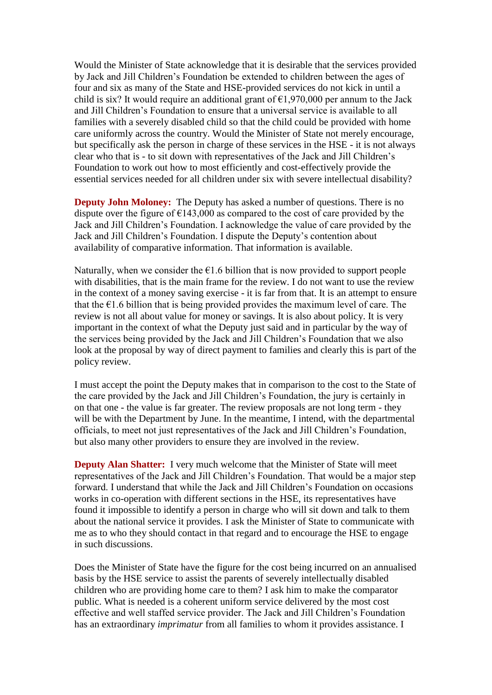Would the Minister of State acknowledge that it is desirable that the services provided by Jack and Jill Children's Foundation be extended to children between the ages of four and six as many of the State and HSE-provided services do not kick in until a child is six? It would require an additional grant of  $\epsilon$ 1,970,000 per annum to the Jack and Jill Children's Foundation to ensure that a universal service is available to all families with a severely disabled child so that the child could be provided with home care uniformly across the country. Would the Minister of State not merely encourage, but specifically ask the person in charge of these services in the HSE - it is not always clear who that is - to sit down with representatives of the Jack and Jill Children's Foundation to work out how to most efficiently and cost-effectively provide the essential services needed for all children under six with severe intellectual disability?

**Deputy John Moloney:** The Deputy has asked a number of questions. There is no dispute over the figure of  $\epsilon$ 143,000 as compared to the cost of care provided by the Jack and Jill Children's Foundation. I acknowledge the value of care provided by the Jack and Jill Children's Foundation. I dispute the Deputy's contention about availability of comparative information. That information is available.

Naturally, when we consider the  $\epsilon$ 1.6 billion that is now provided to support people with disabilities, that is the main frame for the review. I do not want to use the review in the context of a money saving exercise - it is far from that. It is an attempt to ensure that the  $\epsilon$ 1.6 billion that is being provided provides the maximum level of care. The review is not all about value for money or savings. It is also about policy. It is very important in the context of what the Deputy just said and in particular by the way of the services being provided by the Jack and Jill Children's Foundation that we also look at the proposal by way of direct payment to families and clearly this is part of the policy review.

I must accept the point the Deputy makes that in comparison to the cost to the State of the care provided by the Jack and Jill Children's Foundation, the jury is certainly in on that one - the value is far greater. The review proposals are not long term - they will be with the Department by June. In the meantime, I intend, with the departmental officials, to meet not just representatives of the Jack and Jill Children's Foundation, but also many other providers to ensure they are involved in the review.

**Deputy Alan Shatter:** I very much welcome that the Minister of State will meet representatives of the Jack and Jill Children's Foundation. That would be a major step forward. I understand that while the Jack and Jill Children's Foundation on occasions works in co-operation with different sections in the HSE, its representatives have found it impossible to identify a person in charge who will sit down and talk to them about the national service it provides. I ask the Minister of State to communicate with me as to who they should contact in that regard and to encourage the HSE to engage in such discussions.

Does the Minister of State have the figure for the cost being incurred on an annualised basis by the HSE service to assist the parents of severely intellectually disabled children who are providing home care to them? I ask him to make the comparator public. What is needed is a coherent uniform service delivered by the most cost effective and well staffed service provider. The Jack and Jill Children's Foundation has an extraordinary *imprimatur* from all families to whom it provides assistance. I